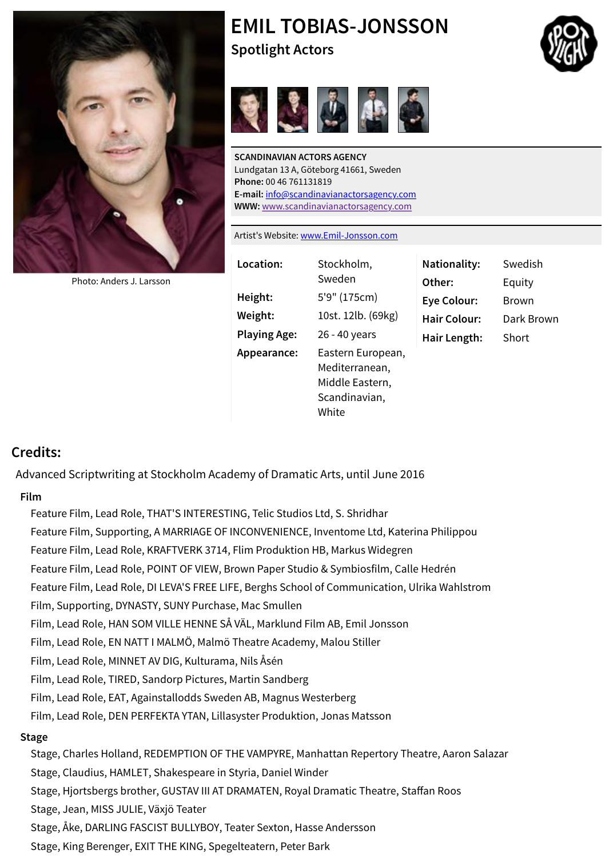

[Photo: Anders J. Larsson](http://www.spotlight.com/photo/~0x0/ffffff/loose/1/M161555.0106.jpg)

Lundgatan 13 A, Göteborg 41661, Sweden **Phone:** 00 46 761131819 **E-mail:** info@scandinavianactorsagency.com **WWW:** www.scandinavianactorsagency.com

Artist's Website: www.Emil-Jonsson.com

| Location:           | Stockholm,<br>Sweden                                                             | Nationality:<br>Other: | <b>Swedis</b><br>Equity |
|---------------------|----------------------------------------------------------------------------------|------------------------|-------------------------|
| Height:             | 5'9" (175cm)                                                                     | <b>Eye Colour:</b>     | <b>Brown</b>            |
| Weight:             | 10st. 12lb. (69kg)                                                               | <b>Hair Colour:</b>    | Dark Br                 |
| <b>Playing Age:</b> | 26 - 40 years                                                                    | Hair Length:           | Short                   |
| Appearance:         | Eastern European,<br>Mediterranean,<br>Middle Eastern,<br>Scandinavian,<br>White |                        |                         |

### **Credits:**

Advanced Scriptwriting at Stockholm Academy of Dramatic Arts, until June 2016

#### **Film**

Feature Film, Lead Role, THAT'S INTERESTING, Telic Studios Ltd, S. Shridhar Feature Film, Supporting, A MARRIAGE OF INCONVENIENCE, Inventome Ltd, Katerina Philippou Feature Film, Lead Role, KRAFTVERK 3714, Flim Produktion HB, Markus Widegren Feature Film, Lead Role, POINT OF VIEW, Brown Paper Studio & Symbiosfilm, Calle Hedrén Feature Film, Lead Role, DI LEVA'S FREE LIFE, Berghs School of Communication, Ulrika Wahlstrom Film, Supporting, DYNASTY, SUNY Purchase, Mac Smullen Film, Lead Role, HAN SOM VILLE HENNE SÅ VÄL, Marklund Film AB, Emil Jonsson Film, Lead Role, EN NATT I MALMÖ, Malmö Theatre Academy, Malou Stiller Film, Lead Role, MINNET AV DIG, Kulturama, Nils Åsén Film, Lead Role, TIRED, Sandorp Pictures, Martin Sandberg Film, Lead Role, EAT, Againstallodds Sweden AB, Magnus Westerberg Film, Lead Role, DEN PERFEKTA YTAN, Lillasyster Produktion, Jonas Matsson **Stage** Stage, Charles Holland, REDEMPTION OF THE VAMPYRE, Manhattan Repertory Theatre, Aaron Salazar Stage, Claudius, HAMLET, Shakespeare in Styria, Daniel Winder Stage, Hjortsbergs brother, GUSTAV III AT DRAMATEN, Royal Dramatic Theatre, Staffan Roos Stage, Jean, MISS JULIE, Växjö Teater Stage, Åke, DARLING FASCIST BULLYBOY, Teater Sexton, Hasse Andersson Stage, King Berenger, EXIT THE KING, Spegelteatern, Peter Bark